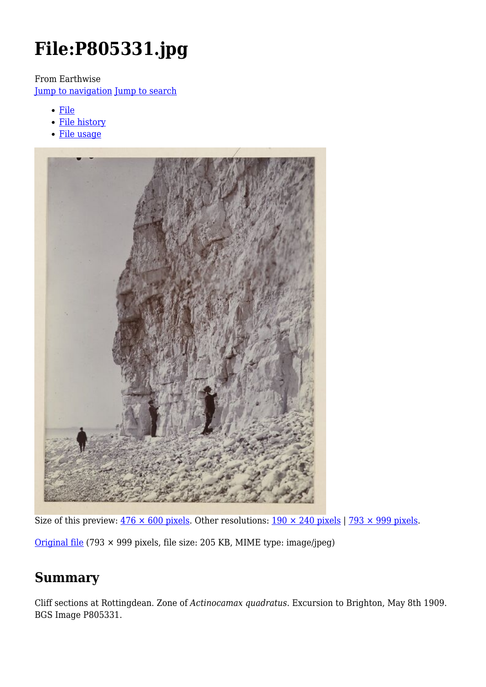# **File:P805331.jpg**

From Earthwise

[Jump to navigation](#page--1-0) [Jump to search](#page--1-0)

- [File](#page--1-0)
- [File history](#page--1-0)
- [File usage](#page--1-0)



Size of this preview:  $476 \times 600$  pixels. Other resolutions:  $190 \times 240$  pixels | 793  $\times$  999 pixels.

[Original file](http://earthwise.bgs.ac.uk/images/6/6b/P805331.jpg) (793 × 999 pixels, file size: 205 KB, MIME type: image/jpeg)

# **Summary**

Cliff sections at Rottingdean. Zone of *Actinocamax quadratus*. Excursion to Brighton, May 8th 1909. BGS Image P805331.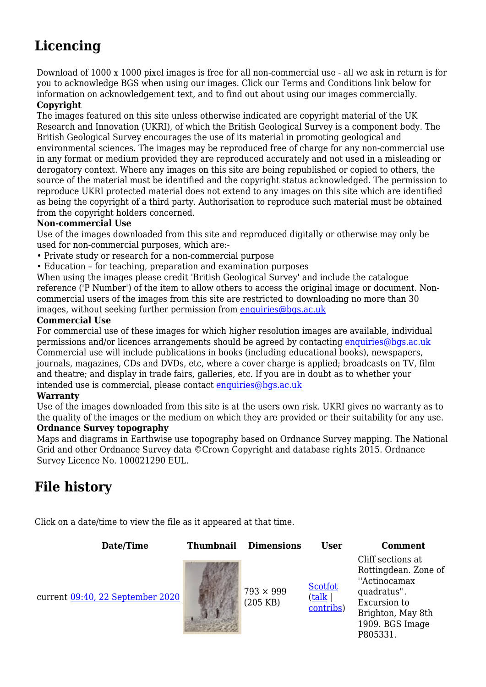# **Licencing**

Download of 1000 x 1000 pixel images is free for all non-commercial use - all we ask in return is for you to acknowledge BGS when using our images. Click our Terms and Conditions link below for information on acknowledgement text, and to find out about using our images commercially.

#### **Copyright**

The images featured on this site unless otherwise indicated are copyright material of the UK Research and Innovation (UKRI), of which the British Geological Survey is a component body. The British Geological Survey encourages the use of its material in promoting geological and environmental sciences. The images may be reproduced free of charge for any non-commercial use in any format or medium provided they are reproduced accurately and not used in a misleading or derogatory context. Where any images on this site are being republished or copied to others, the source of the material must be identified and the copyright status acknowledged. The permission to reproduce UKRI protected material does not extend to any images on this site which are identified as being the copyright of a third party. Authorisation to reproduce such material must be obtained from the copyright holders concerned.

#### **Non-commercial Use**

Use of the images downloaded from this site and reproduced digitally or otherwise may only be used for non-commercial purposes, which are:-

- Private study or research for a non-commercial purpose
- Education for teaching, preparation and examination purposes

When using the images please credit 'British Geological Survey' and include the catalogue reference ('P Number') of the item to allow others to access the original image or document. Noncommercial users of the images from this site are restricted to downloading no more than 30 images, without seeking further permission from [enquiries@bgs.ac.uk](mailto:enquiries@bgs.ac.uk)

#### **Commercial Use**

For commercial use of these images for which higher resolution images are available, individual permissions and/or licences arrangements should be agreed by contacting [enquiries@bgs.ac.uk](mailto:enquiries@bgs.ac.uk) Commercial use will include publications in books (including educational books), newspapers, journals, magazines, CDs and DVDs, etc, where a cover charge is applied; broadcasts on TV, film and theatre; and display in trade fairs, galleries, etc. If you are in doubt as to whether your intended use is commercial, please contact [enquiries@bgs.ac.uk](mailto:enquiries@bgs.ac.uk)

#### **Warranty**

Use of the images downloaded from this site is at the users own risk. UKRI gives no warranty as to the quality of the images or the medium on which they are provided or their suitability for any use.

#### **Ordnance Survey topography**

Maps and diagrams in Earthwise use topography based on Ordnance Survey mapping. The National Grid and other Ordnance Survey data ©Crown Copyright and database rights 2015. Ordnance Survey Licence No. 100021290 EUL.

# **File history**

Click on a date/time to view the file as it appeared at that time.

**Date/Time Thumbnail Dimensions User Comment**

current [09:40, 22 September 2020](http://earthwise.bgs.ac.uk/images/6/6b/P805331.jpg) 793 × 999



(205 KB)

**[Scotfot](http://earthwise.bgs.ac.uk/index.php/User:Scotfot)** ([talk](http://earthwise.bgs.ac.uk/index.php/User_talk:Scotfot) | [contribs](http://earthwise.bgs.ac.uk/index.php/Special:Contributions/Scotfot)) Cliff sections at Rottingdean. Zone of ''Actinocamax quadratus''. Excursion to Brighton, May 8th 1909. BGS Image P805331.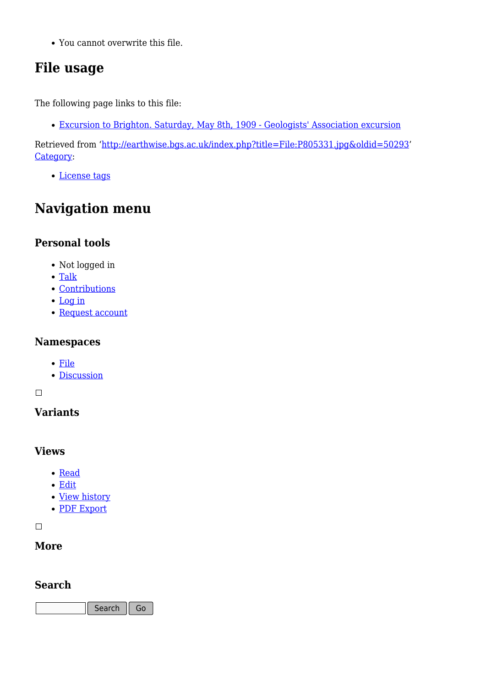You cannot overwrite this file.

# **File usage**

The following page links to this file:

[Excursion to Brighton. Saturday, May 8th, 1909 - Geologists' Association excursion](http://earthwise.bgs.ac.uk/index.php/Excursion_to_Brighton._Saturday,_May_8th,_1909_-_Geologists%27_Association_excursion)

Retrieved from ['http://earthwise.bgs.ac.uk/index.php?title=File:P805331.jpg&oldid=50293](http://earthwise.bgs.ac.uk/index.php?title=File:P805331.jpg&oldid=50293)' [Category](http://earthwise.bgs.ac.uk/index.php/Special:Categories):

[License tags](http://earthwise.bgs.ac.uk/index.php/Category:License_tags)

# **Navigation menu**

### **Personal tools**

- Not logged in
- [Talk](http://earthwise.bgs.ac.uk/index.php/Special:MyTalk)
- [Contributions](http://earthwise.bgs.ac.uk/index.php/Special:MyContributions)
- [Log in](http://earthwise.bgs.ac.uk/index.php?title=Special:UserLogin&returnto=File%3AP805331.jpg&returntoquery=action%3Dmpdf)
- [Request account](http://earthwise.bgs.ac.uk/index.php/Special:RequestAccount)

### **Namespaces**

- [File](http://earthwise.bgs.ac.uk/index.php/File:P805331.jpg)
- [Discussion](http://earthwise.bgs.ac.uk/index.php?title=File_talk:P805331.jpg&action=edit&redlink=1)

 $\Box$ 

### **Variants**

### **Views**

- [Read](http://earthwise.bgs.ac.uk/index.php/File:P805331.jpg)
- [Edit](http://earthwise.bgs.ac.uk/index.php?title=File:P805331.jpg&action=edit)
- [View history](http://earthwise.bgs.ac.uk/index.php?title=File:P805331.jpg&action=history)
- [PDF Export](http://earthwise.bgs.ac.uk/index.php?title=File:P805331.jpg&action=mpdf)

 $\overline{\phantom{a}}$ 

### **More**

### **Search**

Search  $\|$  Go